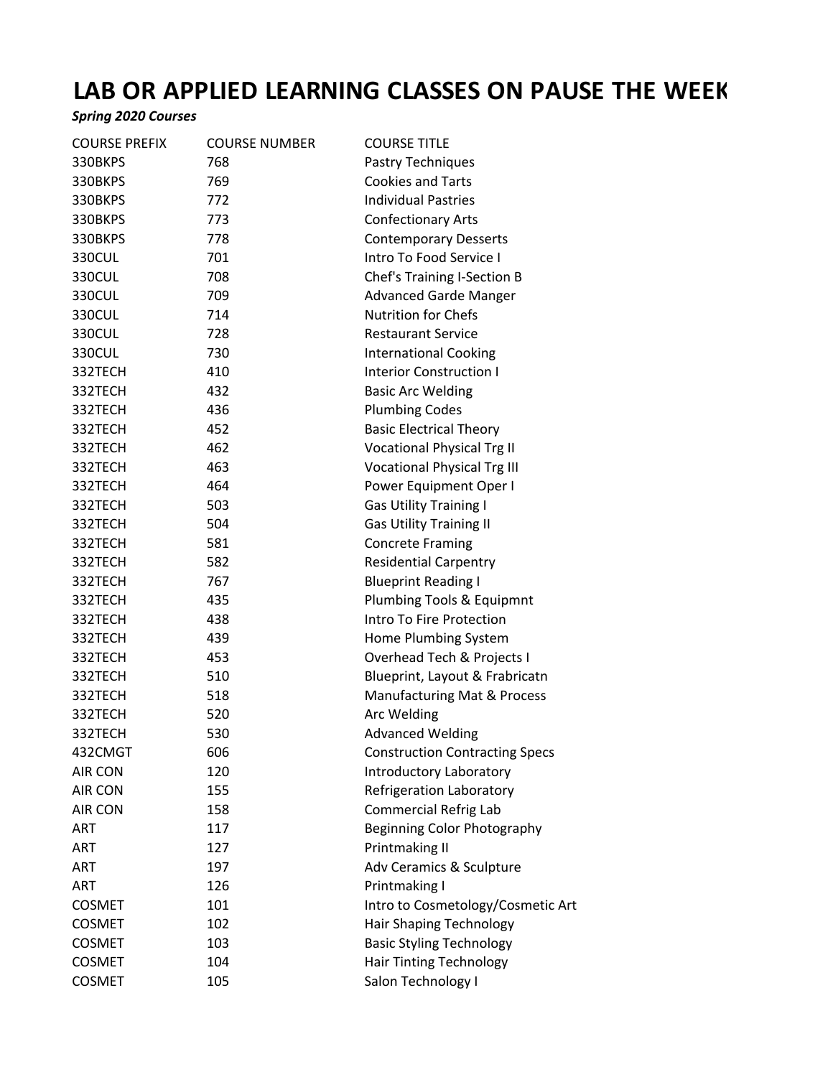## LAB OR APPLIED LEARNING CLASSES ON PAUSE THE WEEK

## *Spring 2020 Courses*

| <b>COURSE PREFIX</b> | <b>COURSE NUMBER</b> | <b>COURSE TITLE</b>                   |
|----------------------|----------------------|---------------------------------------|
| 330BKPS              | 768                  | Pastry Techniques                     |
| 330BKPS              | 769                  | <b>Cookies and Tarts</b>              |
| 330BKPS              | 772                  | <b>Individual Pastries</b>            |
| 330BKPS              | 773                  | <b>Confectionary Arts</b>             |
| 330BKPS              | 778                  | <b>Contemporary Desserts</b>          |
| 330CUL               | 701                  | Intro To Food Service I               |
| 330CUL               | 708                  | Chef's Training I-Section B           |
| 330CUL               | 709                  | <b>Advanced Garde Manger</b>          |
| 330CUL               | 714                  | <b>Nutrition for Chefs</b>            |
| 330CUL               | 728                  | <b>Restaurant Service</b>             |
| 330CUL               | 730                  | <b>International Cooking</b>          |
| 332TECH              | 410                  | <b>Interior Construction I</b>        |
| 332TECH              | 432                  | <b>Basic Arc Welding</b>              |
| 332TECH              | 436                  | <b>Plumbing Codes</b>                 |
| 332TECH              | 452                  | <b>Basic Electrical Theory</b>        |
| 332TECH              | 462                  | <b>Vocational Physical Trg II</b>     |
| 332TECH              | 463                  | <b>Vocational Physical Trg III</b>    |
| 332TECH              | 464                  | Power Equipment Oper I                |
| 332TECH              | 503                  | <b>Gas Utility Training I</b>         |
| 332TECH              | 504                  | <b>Gas Utility Training II</b>        |
| 332TECH              | 581                  | <b>Concrete Framing</b>               |
| 332TECH              | 582                  | <b>Residential Carpentry</b>          |
| 332TECH              | 767                  | <b>Blueprint Reading I</b>            |
| 332TECH              | 435                  | Plumbing Tools & Equipmnt             |
| 332TECH              | 438                  | Intro To Fire Protection              |
| 332TECH              | 439                  | Home Plumbing System                  |
| 332TECH              | 453                  | Overhead Tech & Projects I            |
| 332TECH              | 510                  | Blueprint, Layout & Frabricatn        |
| 332TECH              | 518                  | Manufacturing Mat & Process           |
| 332TECH              | 520                  | Arc Welding                           |
| 332TECH              | 530                  | <b>Advanced Welding</b>               |
| 432CMGT              | 606                  | <b>Construction Contracting Specs</b> |
| <b>AIR CON</b>       | 120                  | <b>Introductory Laboratory</b>        |
| <b>AIR CON</b>       | 155                  | Refrigeration Laboratory              |
| <b>AIR CON</b>       | 158                  | <b>Commercial Refrig Lab</b>          |
| <b>ART</b>           | 117                  | <b>Beginning Color Photography</b>    |
| <b>ART</b>           | 127                  | Printmaking II                        |
| <b>ART</b>           | 197                  | Adv Ceramics & Sculpture              |
| <b>ART</b>           | 126                  | Printmaking I                         |
| <b>COSMET</b>        | 101                  | Intro to Cosmetology/Cosmetic Art     |
| <b>COSMET</b>        | 102                  | Hair Shaping Technology               |
| <b>COSMET</b>        | 103                  | <b>Basic Styling Technology</b>       |
| <b>COSMET</b>        | 104                  | <b>Hair Tinting Technology</b>        |
| <b>COSMET</b>        | 105                  | Salon Technology I                    |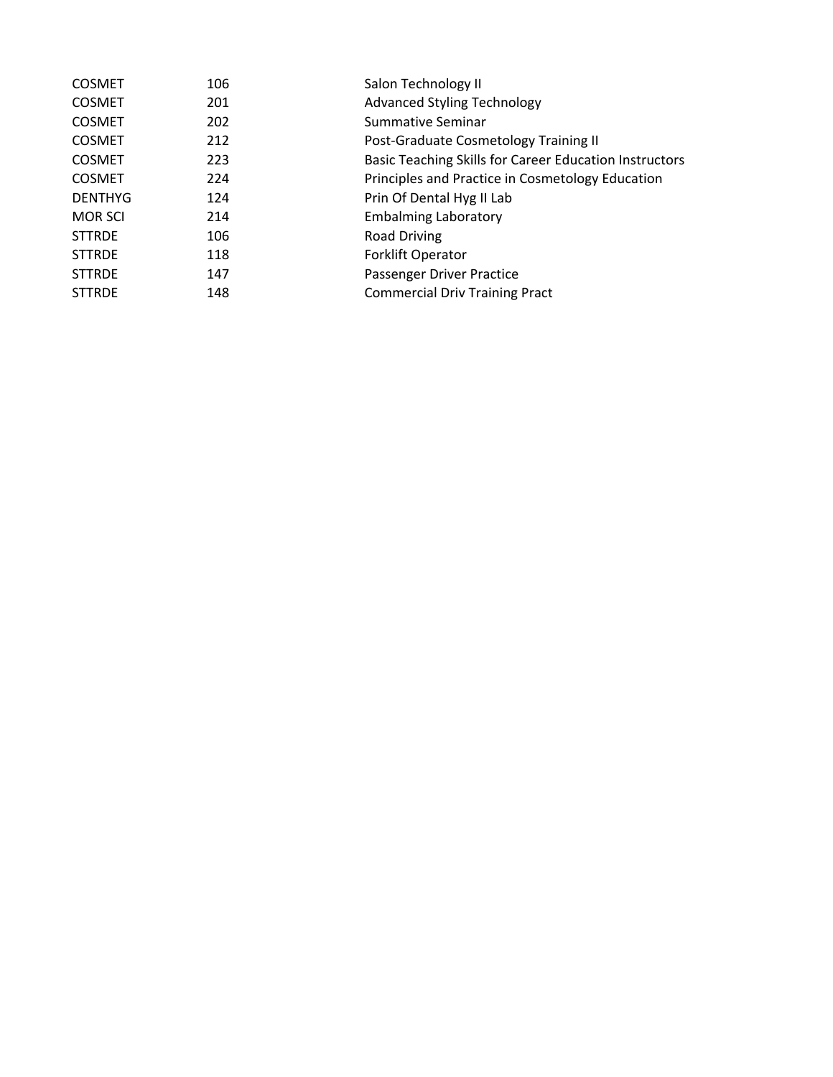| <b>COSMET</b>  | 106 | Salon Technology II                                    |
|----------------|-----|--------------------------------------------------------|
| <b>COSMET</b>  | 201 | <b>Advanced Styling Technology</b>                     |
| <b>COSMET</b>  | 202 | Summative Seminar                                      |
| <b>COSMET</b>  | 212 | Post-Graduate Cosmetology Training II                  |
| <b>COSMET</b>  | 223 | Basic Teaching Skills for Career Education Instructors |
| <b>COSMET</b>  | 224 | Principles and Practice in Cosmetology Education       |
| <b>DENTHYG</b> | 124 | Prin Of Dental Hyg II Lab                              |
| <b>MOR SCI</b> | 214 | <b>Embalming Laboratory</b>                            |
| <b>STTRDE</b>  | 106 | Road Driving                                           |
| <b>STTRDE</b>  | 118 | <b>Forklift Operator</b>                               |
| <b>STTRDE</b>  | 147 | Passenger Driver Practice                              |
| <b>STTRDE</b>  | 148 | <b>Commercial Driv Training Pract</b>                  |